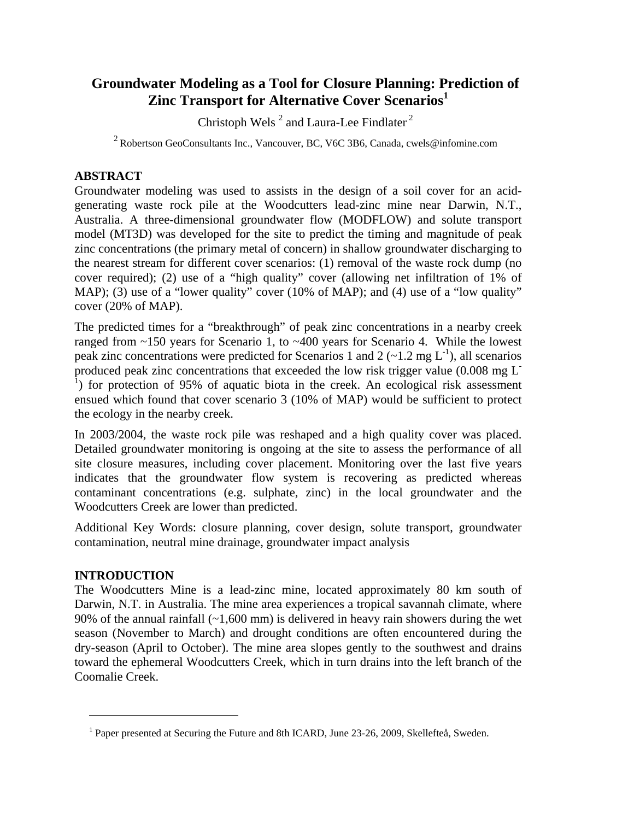# **Groundwater Modeling as a Tool for Closure Planning: Prediction of Zinc Transport for Alternative Cover Scenarios<sup>1</sup>**

Christoph Wels<sup>2</sup> and Laura-Lee Findlater<sup>2</sup>

2 Robertson GeoConsultants Inc., Vancouver, BC, V6C 3B6, Canada, cwels@infomine.com

## **ABSTRACT**

Groundwater modeling was used to assists in the design of a soil cover for an acidgenerating waste rock pile at the Woodcutters lead-zinc mine near Darwin, N.T., Australia. A three-dimensional groundwater flow (MODFLOW) and solute transport model (MT3D) was developed for the site to predict the timing and magnitude of peak zinc concentrations (the primary metal of concern) in shallow groundwater discharging to the nearest stream for different cover scenarios: (1) removal of the waste rock dump (no cover required); (2) use of a "high quality" cover (allowing net infiltration of 1% of MAP); (3) use of a "lower quality" cover (10% of MAP); and (4) use of a "low quality" cover (20% of MAP).

The predicted times for a "breakthrough" of peak zinc concentrations in a nearby creek ranged from ~150 years for Scenario 1, to ~400 years for Scenario 4. While the lowest peak zinc concentrations were predicted for Scenarios 1 and 2 ( $\sim$ 1.2 mg L<sup>-1</sup>), all scenarios produced peak zinc concentrations that exceeded the low risk trigger value (0.008 mg L-<sup>1</sup>) for protection of 95% of aquatic biota in the creek. An ecological risk assessment ensued which found that cover scenario 3 (10% of MAP) would be sufficient to protect the ecology in the nearby creek.

In 2003/2004, the waste rock pile was reshaped and a high quality cover was placed. Detailed groundwater monitoring is ongoing at the site to assess the performance of all site closure measures, including cover placement. Monitoring over the last five years indicates that the groundwater flow system is recovering as predicted whereas contaminant concentrations (e.g. sulphate, zinc) in the local groundwater and the Woodcutters Creek are lower than predicted.

Additional Key Words: closure planning, cover design, solute transport, groundwater contamination, neutral mine drainage, groundwater impact analysis

## **INTRODUCTION**

 $\overline{a}$ 

The Woodcutters Mine is a lead-zinc mine, located approximately 80 km south of Darwin, N.T. in Australia. The mine area experiences a tropical savannah climate, where 90% of the annual rainfall  $(-1,600 \text{ mm})$  is delivered in heavy rain showers during the wet season (November to March) and drought conditions are often encountered during the dry-season (April to October). The mine area slopes gently to the southwest and drains toward the ephemeral Woodcutters Creek, which in turn drains into the left branch of the Coomalie Creek.

<sup>&</sup>lt;sup>1</sup> Paper presented at Securing the Future and 8th ICARD, June 23-26, 2009, Skellefteå, Sweden.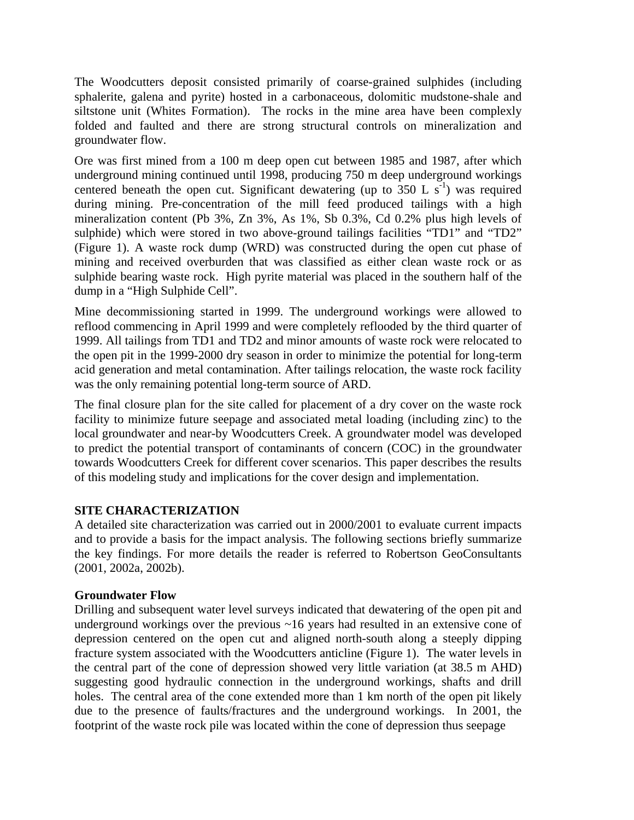The Woodcutters deposit consisted primarily of coarse-grained sulphides (including sphalerite, galena and pyrite) hosted in a carbonaceous, dolomitic mudstone-shale and siltstone unit (Whites Formation). The rocks in the mine area have been complexly folded and faulted and there are strong structural controls on mineralization and groundwater flow.

Ore was first mined from a 100 m deep open cut between 1985 and 1987, after which underground mining continued until 1998, producing 750 m deep underground workings centered beneath the open cut. Significant dewatering (up to  $350 \text{ L s}^{-1}$ ) was required during mining. Pre-concentration of the mill feed produced tailings with a high mineralization content (Pb 3%, Zn 3%, As 1%, Sb 0.3%, Cd 0.2% plus high levels of sulphide) which were stored in two above-ground tailings facilities "TD1" and "TD2" (Figure 1). A waste rock dump (WRD) was constructed during the open cut phase of mining and received overburden that was classified as either clean waste rock or as sulphide bearing waste rock. High pyrite material was placed in the southern half of the dump in a "High Sulphide Cell".

Mine decommissioning started in 1999. The underground workings were allowed to reflood commencing in April 1999 and were completely reflooded by the third quarter of 1999. All tailings from TD1 and TD2 and minor amounts of waste rock were relocated to the open pit in the 1999-2000 dry season in order to minimize the potential for long-term acid generation and metal contamination. After tailings relocation, the waste rock facility was the only remaining potential long-term source of ARD.

The final closure plan for the site called for placement of a dry cover on the waste rock facility to minimize future seepage and associated metal loading (including zinc) to the local groundwater and near-by Woodcutters Creek. A groundwater model was developed to predict the potential transport of contaminants of concern (COC) in the groundwater towards Woodcutters Creek for different cover scenarios. This paper describes the results of this modeling study and implications for the cover design and implementation.

## **SITE CHARACTERIZATION**

A detailed site characterization was carried out in 2000/2001 to evaluate current impacts and to provide a basis for the impact analysis. The following sections briefly summarize the key findings. For more details the reader is referred to Robertson GeoConsultants (2001, 2002a, 2002b).

#### **Groundwater Flow**

Drilling and subsequent water level surveys indicated that dewatering of the open pit and underground workings over the previous ~16 years had resulted in an extensive cone of depression centered on the open cut and aligned north-south along a steeply dipping fracture system associated with the Woodcutters anticline (Figure 1). The water levels in the central part of the cone of depression showed very little variation (at 38.5 m AHD) suggesting good hydraulic connection in the underground workings, shafts and drill holes. The central area of the cone extended more than 1 km north of the open pit likely due to the presence of faults/fractures and the underground workings. In 2001, the footprint of the waste rock pile was located within the cone of depression thus seepage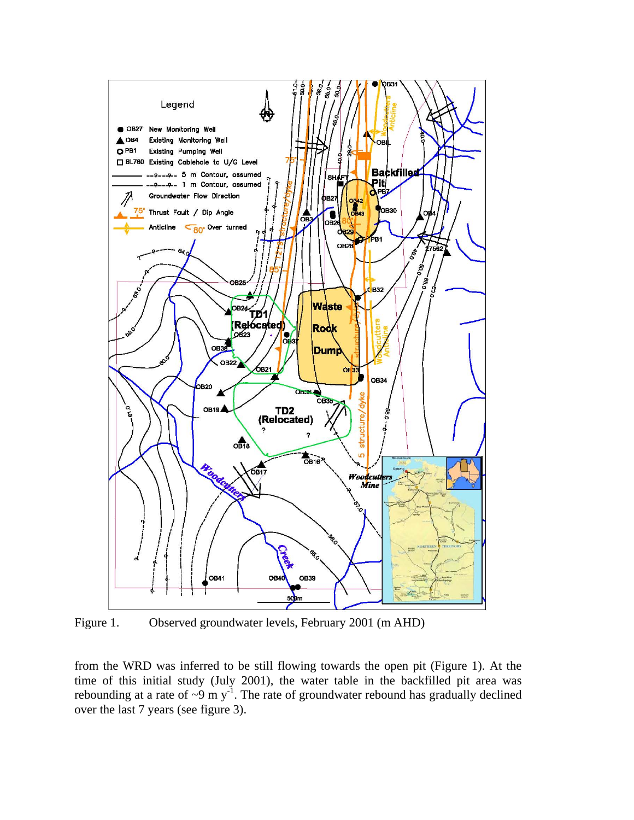

Figure 1. Observed groundwater levels, February 2001 (m AHD)

from the WRD was inferred to be still flowing towards the open pit (Figure 1). At the time of this initial study (July 2001), the water table in the backfilled pit area was rebounding at a rate of  $\sim 9$  m y<sup>-1</sup>. The rate of groundwater rebound has gradually declined over the last 7 years (see figure 3).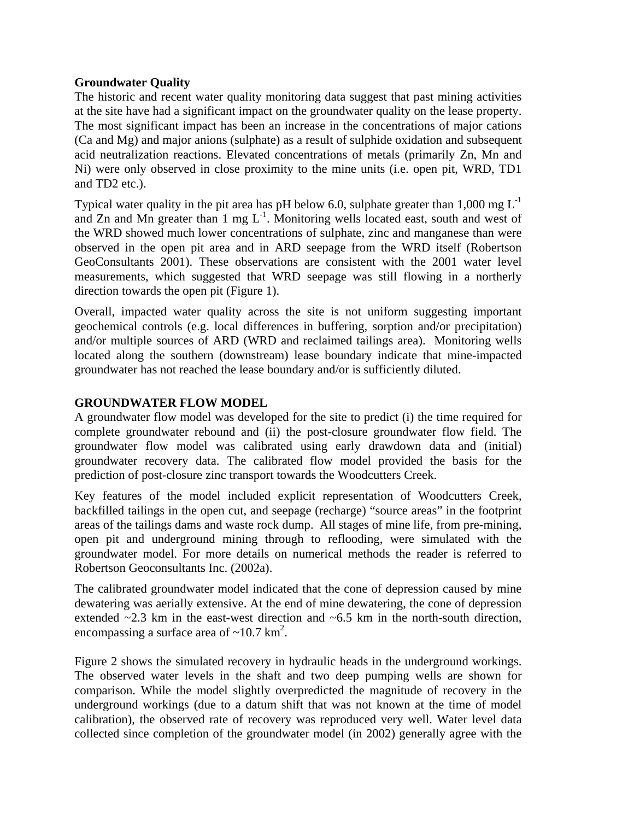# **Groundwater Quality**

The historic and recent water quality monitoring data suggest that past mining activities at the site have had a significant impact on the groundwater quality on the lease property. The most significant impact has been an increase in the concentrations of major cations (Ca and Mg) and major anions (sulphate) as a result of sulphide oxidation and subsequent acid neutralization reactions. Elevated concentrations of metals (primarily Zn, Mn and Ni) were only observed in close proximity to the mine units (i.e. open pit, WRD, TD1 and TD2 etc.).

Typical water quality in the pit area has pH below 6.0, sulphate greater than  $1,000 \text{ mg } L^{-1}$ and Zn and Mn greater than  $1 \text{ mg } L^{-1}$ . Monitoring wells located east, south and west of the WRD showed much lower concentrations of sulphate, zinc and manganese than were observed in the open pit area and in ARD seepage from the WRD itself (Robertson GeoConsultants 2001). These observations are consistent with the 2001 water level measurements, which suggested that WRD seepage was still flowing in a northerly direction towards the open pit (Figure 1).

Overall, impacted water quality across the site is not uniform suggesting important geochemical controls (e.g. local differences in buffering, sorption and/or precipitation) and/or multiple sources of ARD (WRD and reclaimed tailings area). Monitoring wells located along the southern (downstream) lease boundary indicate that mine-impacted groundwater has not reached the lease boundary and/or is sufficiently diluted.

# **GROUNDWATER FLOW MODEL**

A groundwater flow model was developed for the site to predict (i) the time required for complete groundwater rebound and (ii) the post-closure groundwater flow field. The groundwater flow model was calibrated using early drawdown data and (initial) groundwater recovery data. The calibrated flow model provided the basis for the prediction of post-closure zinc transport towards the Woodcutters Creek.

Key features of the model included explicit representation of Woodcutters Creek, backfilled tailings in the open cut, and seepage (recharge) "source areas" in the footprint areas of the tailings dams and waste rock dump. All stages of mine life, from pre-mining, open pit and underground mining through to reflooding, were simulated with the groundwater model. For more details on numerical methods the reader is referred to Robertson Geoconsultants Inc. (2002a).

The calibrated groundwater model indicated that the cone of depression caused by mine dewatering was aerially extensive. At the end of mine dewatering, the cone of depression extended ~2.3 km in the east-west direction and ~6.5 km in the north-south direction, encompassing a surface area of  $\sim$ 10.7 km<sup>2</sup>.

Figure 2 shows the simulated recovery in hydraulic heads in the underground workings. The observed water levels in the shaft and two deep pumping wells are shown for comparison. While the model slightly overpredicted the magnitude of recovery in the underground workings (due to a datum shift that was not known at the time of model calibration), the observed rate of recovery was reproduced very well. Water level data collected since completion of the groundwater model (in 2002) generally agree with the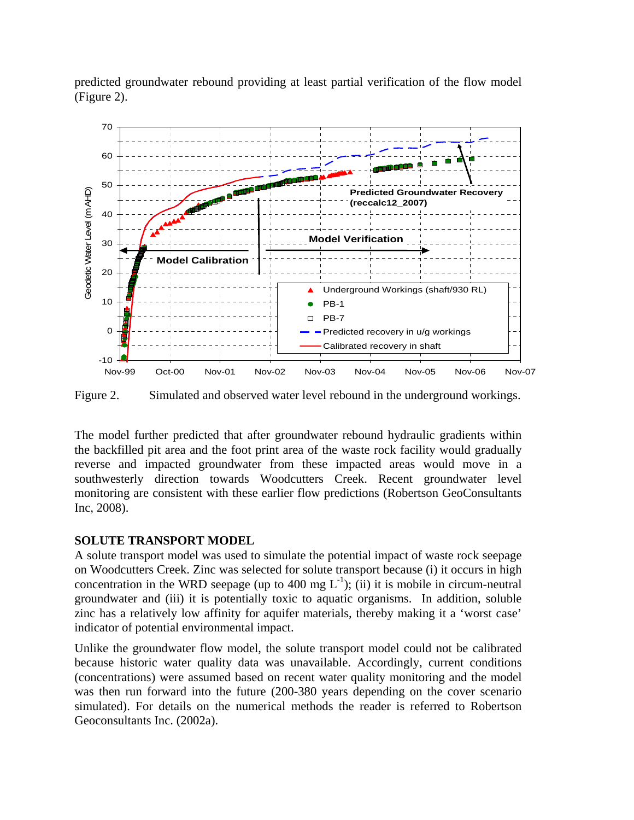predicted groundwater rebound providing at least partial verification of the flow model (Figure 2).



Figure 2. Simulated and observed water level rebound in the underground workings.

The model further predicted that after groundwater rebound hydraulic gradients within the backfilled pit area and the foot print area of the waste rock facility would gradually reverse and impacted groundwater from these impacted areas would move in a southwesterly direction towards Woodcutters Creek. Recent groundwater level monitoring are consistent with these earlier flow predictions (Robertson GeoConsultants Inc, 2008).

# **SOLUTE TRANSPORT MODEL**

A solute transport model was used to simulate the potential impact of waste rock seepage on Woodcutters Creek. Zinc was selected for solute transport because (i) it occurs in high concentration in the WRD seepage (up to 400 mg  $L^{-1}$ ); (ii) it is mobile in circum-neutral groundwater and (iii) it is potentially toxic to aquatic organisms. In addition, soluble zinc has a relatively low affinity for aquifer materials, thereby making it a 'worst case' indicator of potential environmental impact.

Unlike the groundwater flow model, the solute transport model could not be calibrated because historic water quality data was unavailable. Accordingly, current conditions (concentrations) were assumed based on recent water quality monitoring and the model was then run forward into the future (200-380 years depending on the cover scenario simulated). For details on the numerical methods the reader is referred to Robertson Geoconsultants Inc. (2002a).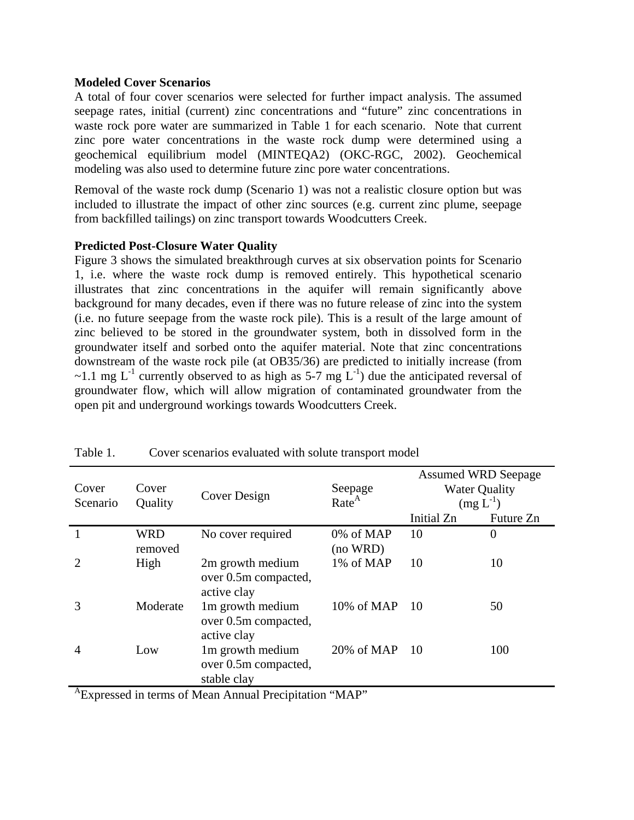#### **Modeled Cover Scenarios**

A total of four cover scenarios were selected for further impact analysis. The assumed seepage rates, initial (current) zinc concentrations and "future" zinc concentrations in waste rock pore water are summarized in Table 1 for each scenario. Note that current zinc pore water concentrations in the waste rock dump were determined using a geochemical equilibrium model (MINTEQA2) (OKC-RGC, 2002). Geochemical modeling was also used to determine future zinc pore water concentrations.

Removal of the waste rock dump (Scenario 1) was not a realistic closure option but was included to illustrate the impact of other zinc sources (e.g. current zinc plume, seepage from backfilled tailings) on zinc transport towards Woodcutters Creek.

## **Predicted Post-Closure Water Quality**

Figure 3 shows the simulated breakthrough curves at six observation points for Scenario 1, i.e. where the waste rock dump is removed entirely. This hypothetical scenario illustrates that zinc concentrations in the aquifer will remain significantly above background for many decades, even if there was no future release of zinc into the system (i.e. no future seepage from the waste rock pile). This is a result of the large amount of zinc believed to be stored in the groundwater system, both in dissolved form in the groundwater itself and sorbed onto the aquifer material. Note that zinc concentrations downstream of the waste rock pile (at OB35/36) are predicted to initially increase (from ~1.1 mg  $L^{-1}$  currently observed to as high as 5-7 mg  $L^{-1}$ ) due the anticipated reversal of groundwater flow, which will allow migration of contaminated groundwater from the open pit and underground workings towards Woodcutters Creek.

| Cover<br>Scenario | Cover<br>Quality      | Cover Design                                            | Seepage<br>Rate <sup>A</sup> | <b>Assumed WRD Seepage</b><br><b>Water Quality</b><br>$(mg L^{-1})$ |                |
|-------------------|-----------------------|---------------------------------------------------------|------------------------------|---------------------------------------------------------------------|----------------|
|                   |                       |                                                         |                              | Initial Zn                                                          | Future Zn      |
|                   | <b>WRD</b><br>removed | No cover required                                       | 0% of MAP<br>(no WRD)        | 10                                                                  | $\overline{0}$ |
|                   | High                  | 2m growth medium<br>over 0.5m compacted,<br>active clay | 1% of MAP                    | 10                                                                  | 10             |
| 3                 | Moderate              | 1m growth medium<br>over 0.5m compacted,<br>active clay | 10% of MAP                   | <b>10</b>                                                           | 50             |
| 4                 | Low                   | 1m growth medium<br>over 0.5m compacted,<br>stable clay | 20% of MAP                   | -10                                                                 | 100            |

Table 1. Cover scenarios evaluated with solute transport model

AExpressed in terms of Mean Annual Precipitation "MAP"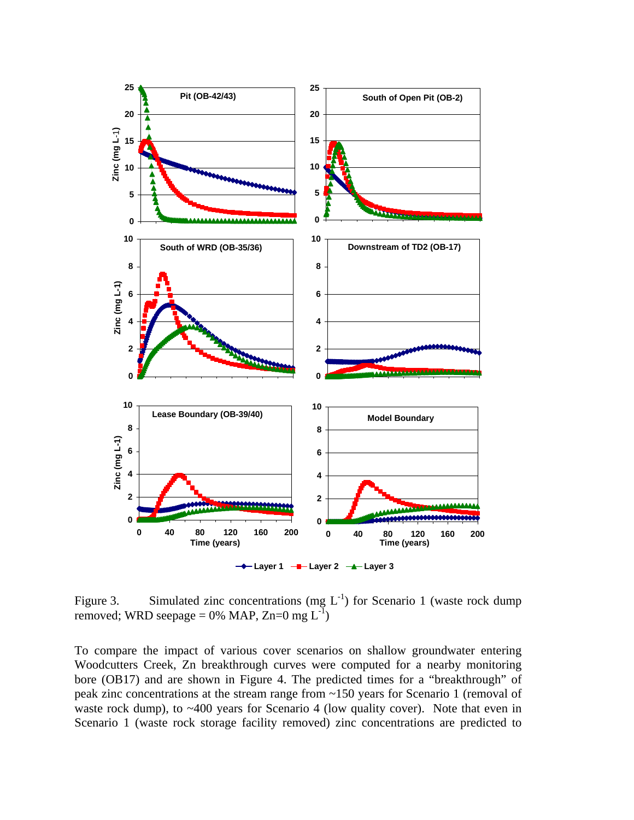

Figure 3. Simulated zinc concentrations (mg  $L^{-1}$ ) for Scenario 1 (waste rock dump removed; WRD seepage = 0% MAP,  $Zn=0$  mg  $L^{-1}$ )

To compare the impact of various cover scenarios on shallow groundwater entering Woodcutters Creek, Zn breakthrough curves were computed for a nearby monitoring bore (OB17) and are shown in Figure 4. The predicted times for a "breakthrough" of peak zinc concentrations at the stream range from ~150 years for Scenario 1 (removal of waste rock dump), to ~400 years for Scenario 4 (low quality cover). Note that even in Scenario 1 (waste rock storage facility removed) zinc concentrations are predicted to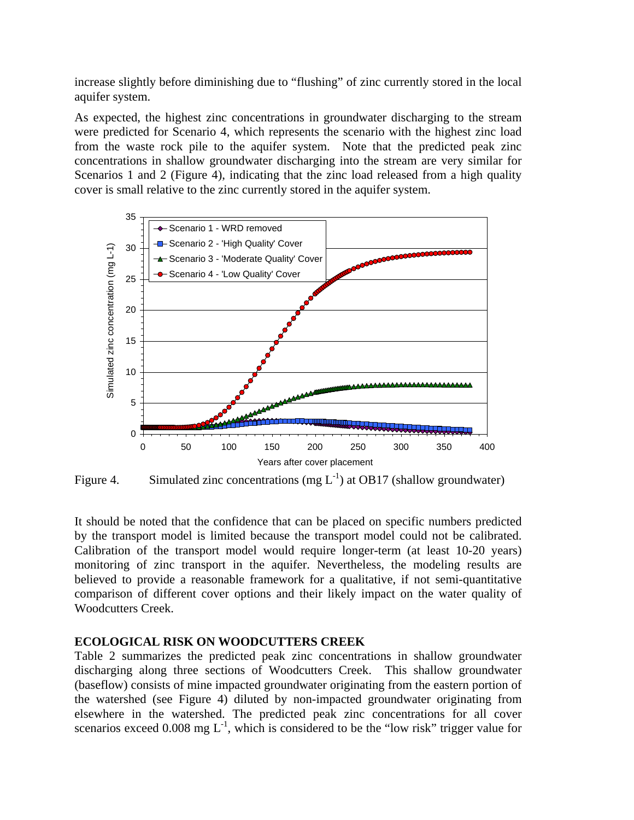increase slightly before diminishing due to "flushing" of zinc currently stored in the local aquifer system.

As expected, the highest zinc concentrations in groundwater discharging to the stream were predicted for Scenario 4, which represents the scenario with the highest zinc load from the waste rock pile to the aquifer system. Note that the predicted peak zinc concentrations in shallow groundwater discharging into the stream are very similar for Scenarios 1 and 2 (Figure 4), indicating that the zinc load released from a high quality cover is small relative to the zinc currently stored in the aquifer system.



Figure 4. Simulated zinc concentrations (mg  $L^{-1}$ ) at OB17 (shallow groundwater)

It should be noted that the confidence that can be placed on specific numbers predicted by the transport model is limited because the transport model could not be calibrated. Calibration of the transport model would require longer-term (at least 10-20 years) monitoring of zinc transport in the aquifer. Nevertheless, the modeling results are believed to provide a reasonable framework for a qualitative, if not semi-quantitative comparison of different cover options and their likely impact on the water quality of Woodcutters Creek.

## **ECOLOGICAL RISK ON WOODCUTTERS CREEK**

Table 2 summarizes the predicted peak zinc concentrations in shallow groundwater discharging along three sections of Woodcutters Creek. This shallow groundwater (baseflow) consists of mine impacted groundwater originating from the eastern portion of the watershed (see Figure 4) diluted by non-impacted groundwater originating from elsewhere in the watershed. The predicted peak zinc concentrations for all cover scenarios exceed 0.008 mg  $L^{-1}$ , which is considered to be the "low risk" trigger value for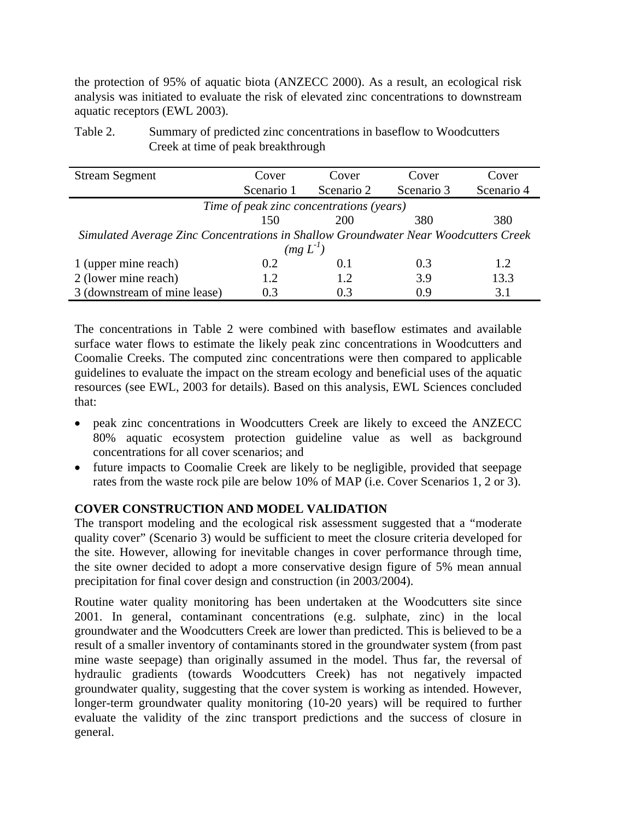the protection of 95% of aquatic biota (ANZECC 2000). As a result, an ecological risk analysis was initiated to evaluate the risk of elevated zinc concentrations to downstream aquatic receptors (EWL 2003).

Table 2. Summary of predicted zinc concentrations in baseflow to Woodcutters Creek at time of peak breakthrough

| <b>Stream Segment</b>                                                               | Cover      | Cover      | Cover      | Cover      |  |  |  |  |
|-------------------------------------------------------------------------------------|------------|------------|------------|------------|--|--|--|--|
|                                                                                     | Scenario 1 | Scenario 2 | Scenario 3 | Scenario 4 |  |  |  |  |
| Time of peak zinc concentrations (years)                                            |            |            |            |            |  |  |  |  |
|                                                                                     | 150        | 200        | 380        | 380        |  |  |  |  |
| Simulated Average Zinc Concentrations in Shallow Groundwater Near Woodcutters Creek |            |            |            |            |  |  |  |  |
| $(mg L-1)$                                                                          |            |            |            |            |  |  |  |  |
| 1 (upper mine reach)                                                                | 0.2        | 0.1        | 0.3        | 1.2        |  |  |  |  |
| 2 (lower mine reach)                                                                | 1.2        | 1.2        | 3.9        | 13.3       |  |  |  |  |
| 3 (downstream of mine lease)                                                        | 0.3        | 0.3        | 09         | 3.1        |  |  |  |  |

The concentrations in Table 2 were combined with baseflow estimates and available surface water flows to estimate the likely peak zinc concentrations in Woodcutters and Coomalie Creeks. The computed zinc concentrations were then compared to applicable guidelines to evaluate the impact on the stream ecology and beneficial uses of the aquatic resources (see EWL, 2003 for details). Based on this analysis, EWL Sciences concluded that:

- peak zinc concentrations in Woodcutters Creek are likely to exceed the ANZECC 80% aquatic ecosystem protection guideline value as well as background concentrations for all cover scenarios; and
- future impacts to Coomalie Creek are likely to be negligible, provided that seepage rates from the waste rock pile are below 10% of MAP (i.e. Cover Scenarios 1, 2 or 3).

# **COVER CONSTRUCTION AND MODEL VALIDATION**

The transport modeling and the ecological risk assessment suggested that a "moderate quality cover" (Scenario 3) would be sufficient to meet the closure criteria developed for the site. However, allowing for inevitable changes in cover performance through time, the site owner decided to adopt a more conservative design figure of 5% mean annual precipitation for final cover design and construction (in 2003/2004).

Routine water quality monitoring has been undertaken at the Woodcutters site since 2001. In general, contaminant concentrations (e.g. sulphate, zinc) in the local groundwater and the Woodcutters Creek are lower than predicted. This is believed to be a result of a smaller inventory of contaminants stored in the groundwater system (from past mine waste seepage) than originally assumed in the model. Thus far, the reversal of hydraulic gradients (towards Woodcutters Creek) has not negatively impacted groundwater quality, suggesting that the cover system is working as intended. However, longer-term groundwater quality monitoring (10-20 years) will be required to further evaluate the validity of the zinc transport predictions and the success of closure in general.